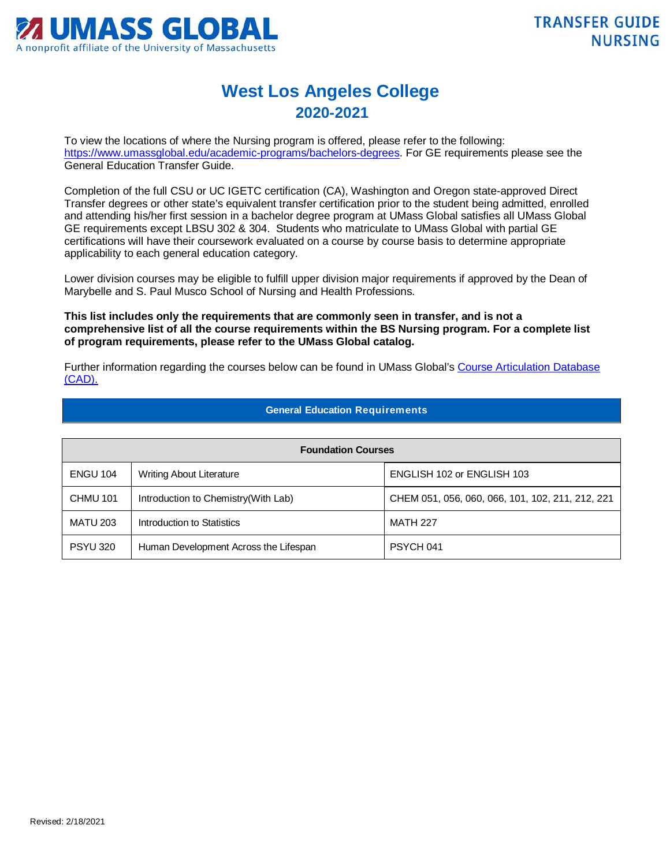

## **West Los Angeles College 2020-2021**

To view the locations of where the Nursing program is offered, please refer to the following: [https://www.umassglobal.edu/academic-programs/bachelors-degrees.](https://www.umassglobal.edu/academic-programs/bachelors-degrees) For GE requirements please see the General Education Transfer Guide.

Completion of the full CSU or UC IGETC certification (CA), Washington and Oregon state-approved Direct Transfer degrees or other state's equivalent transfer certification prior to the student being admitted, enrolled and attending his/her first session in a bachelor degree program at UMass Global satisfies all UMass Global GE requirements except LBSU 302 & 304. Students who matriculate to UMass Global with partial GE certifications will have their coursework evaluated on a course by course basis to determine appropriate applicability to each general education category.

Lower division courses may be eligible to fulfill upper division major requirements if approved by the Dean of Marybelle and S. Paul Musco School of Nursing and Health Professions.

**This list includes only the requirements that are commonly seen in transfer, and is not a comprehensive list of all the course requirements within the BS Nursing program. For a complete list of program requirements, please refer to the UMass Global catalog.**

Further information regarding the courses below can be found in UMass Global's [Course Articulation Database](http://services.umassglobal.edu/studentservices/TransferCredit/)  [\(CAD\).](http://services.umassglobal.edu/studentservices/TransferCredit/) 

## **General Education Requirements**

| <b>Foundation Courses</b> |                                       |                                                  |  |
|---------------------------|---------------------------------------|--------------------------------------------------|--|
| <b>ENGU 104</b>           | <b>Writing About Literature</b>       | ENGLISH 102 or ENGLISH 103                       |  |
| <b>CHMU 101</b>           | Introduction to Chemistry(With Lab)   | CHEM 051, 056, 060, 066, 101, 102, 211, 212, 221 |  |
| <b>MATU 203</b>           | Introduction to Statistics            | <b>MATH 227</b>                                  |  |
| <b>PSYU 320</b>           | Human Development Across the Lifespan | PSYCH 041                                        |  |